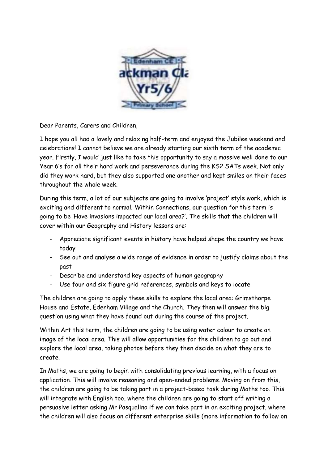

Dear Parents, Carers and Children,

I hope you all had a lovely and relaxing half-term and enjoyed the Jubilee weekend and celebrations! I cannot believe we are already starting our sixth term of the academic year. Firstly, I would just like to take this opportunity to say a massive well done to our Year 6's for all their hard work and perseverance during the KS2 SATs week. Not only did they work hard, but they also supported one another and kept smiles on their faces throughout the whole week.

During this term, a lot of our subjects are going to involve 'project' style work, which is exciting and different to normal. Within Connections, our question for this term is going to be 'Have invasions impacted our local area?'. The skills that the children will cover within our Geography and History lessons are:

- Appreciate significant events in history have helped shape the country we have today
- See out and analyse a wide range of evidence in order to justify claims about the past
- Describe and understand key aspects of human geography
- Use four and six figure grid references, symbols and keys to locate

The children are going to apply these skills to explore the local area: Grimsthorpe House and Estate, Edenham Village and the Church. They then will answer the big question using what they have found out during the course of the project.

Within Art this term, the children are going to be using water colour to create an image of the local area. This will allow opportunities for the children to go out and explore the local area, taking photos before they then decide on what they are to create.

In Maths, we are going to begin with consolidating previous learning, with a focus on application. This will involve reasoning and open-ended problems. Moving on from this, the children are going to be taking part in a project-based task during Maths too. This will integrate with English too, where the children are going to start off writing a persuasive letter asking Mr Pasqualino if we can take part in an exciting project, where the children will also focus on different enterprise skills (more information to follow on